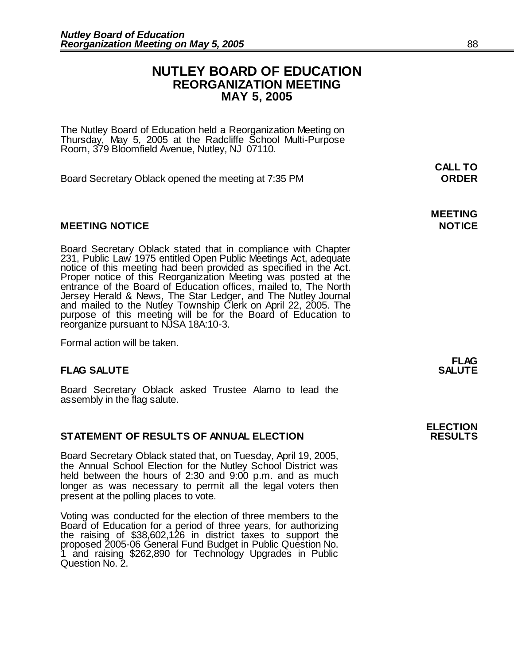### **NUTLEY BOARD OF EDUCATION REORGANIZATION MEETING MAY 5, 2005**

The Nutley Board of Education held a Reorganization Meeting on Thursday, May 5, 2005 at the Radcliffe School Multi-Purpose Room, 379 Bloomfield Avenue, Nutley, NJ 07110.

Board Secretary Oblack opened the meeting at 7:35 PM **ORDER**

#### **MEETING NOTICE NOTICE**

Board Secretary Oblack stated that in compliance with Chapter 231, Public Law 1975 entitled Open Public Meetings Act, adequate notice of this meeting had been provided as specified in the Act. Proper notice of this Reorganization Meeting was posted at the entrance of the Board of Education offices, mailed to, The North Jersey Herald & News, The Star Ledger, and The Nutley Journal and mailed to the Nutley Township Clerk on April 22, 2005. The purpose of this meeting will be for the Board of Education to reorganize pursuant to NJSA 18A:10-3.

Formal action will be taken.

#### **FLAG SALUTE**

Board Secretary Oblack asked Trustee Alamo to lead the assembly in the flag salute.

#### **STATEMENT OF RESULTS OF ANNUAL ELECTION**

Board Secretary Oblack stated that, on Tuesday, April 19, 2005, the Annual School Election for the Nutley School District was held between the hours of 2:30 and 9:00 p.m. and as much longer as was necessary to permit all the legal voters then present at the polling places to vote.

Voting was conducted for the election of three members to the Board of Education for a period of three years, for authorizing the raising of \$38,602,126 in district taxes to support the proposed 2005-06 General Fund Budget in Public Question No. 1 and raising \$262,890 for Technology Upgrades in Public Question No. 2.

**ELECTION**

# **CALL TO**

**MEETING**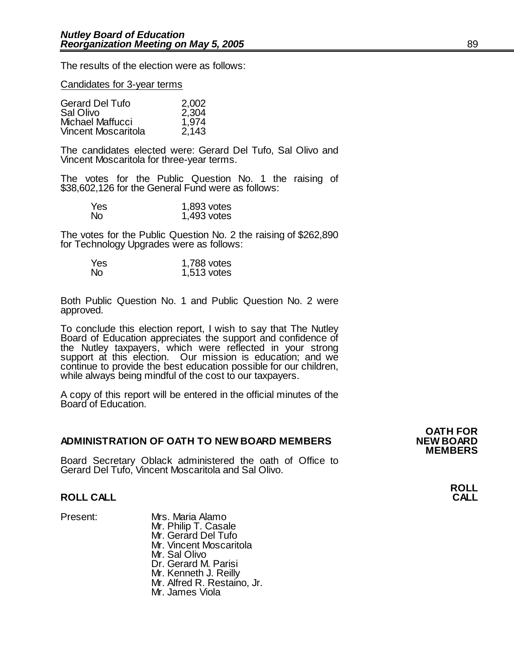The results of the election were as follows:

#### Candidates for 3-year terms

| <b>Gerard Del Tufo</b>     | 2,002 |
|----------------------------|-------|
| Sal Olivo                  | 2,304 |
| Michael Maffucci           | 1,974 |
| <b>Vincent Moscaritola</b> | 2,143 |

The candidates elected were: Gerard Del Tufo, Sal Olivo and Vincent Moscaritola for three-year terms.

The votes for the Public Question No. 1 the raising of \$38,602,126 for the General Fund were as follows:

| Yes       | 1,893 votes |
|-----------|-------------|
| <b>No</b> | 1,493 votes |

The votes for the Public Question No. 2 the raising of \$262,890 for Technology Upgrades were as follows:

| Yes | 1,788 votes |
|-----|-------------|
| No. | 1,513 votes |

Both Public Question No. 1 and Public Question No. 2 were approved.

To conclude this election report, I wish to say that The Nutley Board of Education appreciates the support and confidence of the Nutley taxpayers, which were reflected in your strong support at this election. Our mission is education; and we continue to provide the best education possible for our children, while always being mindful of the cost to our taxpayers.

A copy of this report will be entered in the official minutes of the Board of Education.

#### **ADMINISTRATION OF OATH TO NEW BOARD MEMBERS NEW BOARD**

Board Secretary Oblack administered the oath of Office to Gerard Del Tufo, Vincent Moscaritola and Sal Olivo.

#### **ROLL CALL CALL**

Present: Mrs. Maria Alamo Mr. Philip T. Casale Mr. Gerard Del Tufo Mr. Vincent Moscaritola Mr. Sal Olivo Dr. Gerard M. Parisi Mr. Kenneth J. Reilly Mr. Alfred R. Restaino, Jr. Mr. James Viola

**OATH FOR MEMBERS**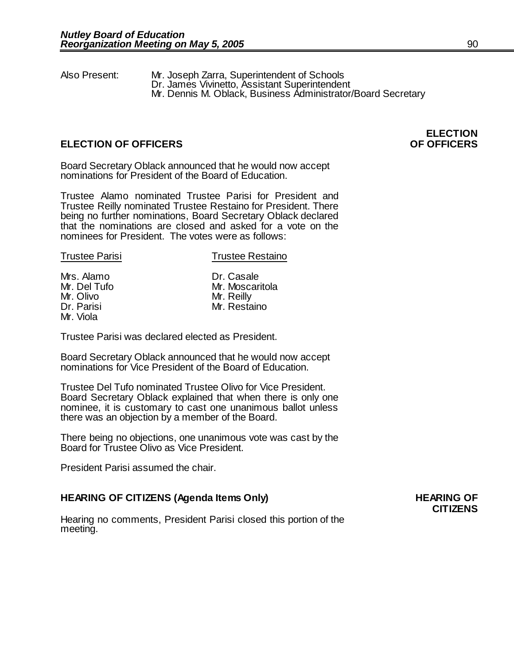Also Present: Mr. Joseph Zarra, Superintendent of Schools Dr. James Vivinetto, Assistant Superintendent Mr. Dennis M. Oblack, Business Administrator/Board Secretary

### **ELECTION OF OFFICERS OF OFFICERS**

Mr. Viola

**ELECTION**

Board Secretary Oblack announced that he would now accept nominations for President of the Board of Education.

Trustee Alamo nominated Trustee Parisi for President and Trustee Reilly nominated Trustee Restaino for President. There being no further nominations, Board Secretary Oblack declared that the nominations are closed and asked for a vote on the nominees for President. The votes were as follows:

| <b>Trustee Parisi</b> | <b>Trustee Restaino</b> |  |
|-----------------------|-------------------------|--|
|                       |                         |  |
| Mrs. Alamo            | Dr. Casale              |  |
| Mr. Del Tufo          | Mr. Moscaritola         |  |
| Mr. Olivo             | Mr. Reilly              |  |
| Dr. Parisi            | Mr. Restaino            |  |

Trustee Parisi was declared elected as President.

Board Secretary Oblack announced that he would now accept nominations for Vice President of the Board of Education.

Trustee Del Tufo nominated Trustee Olivo for Vice President. Board Secretary Oblack explained that when there is only one nominee, it is customary to cast one unanimous ballot unless there was an objection by a member of the Board.

There being no objections, one unanimous vote was cast by the Board for Trustee Olivo as Vice President.

President Parisi assumed the chair.

#### **HEARING OF CITIZENS (Agenda Items Only) HEARING OF**

Hearing no comments, President Parisi closed this portion of the meeting.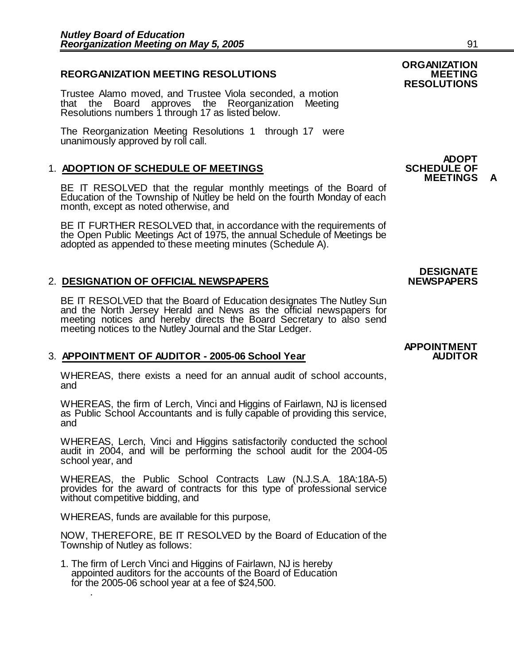#### **REORGANIZATION MEETING RESOLUTIONS**

Trustee Alamo moved, and Trustee Viola seconded, a motion that the Board approves the Reorganization Meeting Resolutions numbers 1 through 17 as listed below.

The Reorganization Meeting Resolutions 1 through 17 were unanimously approved by roll call.

#### **1. ADOPTION OF SCHEDULE OF MEETINGS**

BE IT RESOLVED that the regular monthly meetings of the Board of Education of the Township of Nutley be held on the fourth Monday of each month, except as noted otherwise, and

BE IT FURTHER RESOLVED that, in accordance with the requirements of the Open Public Meetings Act of 1975, the annual Schedule of Meetings be adopted as appended to these meeting minutes (Schedule A).

#### 2. **DESIGNATION OF OFFICIAL NEWSPAPERS NEWSPAPERS**

BE IT RESOLVED that the Board of Education designates The Nutley Sun and the North Jersey Herald and News as the official newspapers for meeting notices and hereby directs the Board Secretary to also send meeting notices to the Nutley Journal and the Star Ledger.

#### 3. **APPOINTMENT OF AUDITOR - 2005-06 School Year**

WHEREAS, there exists a need for an annual audit of school accounts, and

WHEREAS, the firm of Lerch, Vinci and Higgins of Fairlawn, NJ is licensed as Public School Accountants and is fully capable of providing this service, and

WHEREAS, Lerch, Vinci and Higgins satisfactorily conducted the school audit in 2004, and will be performing the school audit for the 2004-05 school year, and

WHEREAS, the Public School Contracts Law (N.J.S.A. 18A:18A-5) provides for the award of contracts for this type of professional service without competitive bidding, and

WHEREAS, funds are available for this purpose,

NOW, THEREFORE, BE IT RESOLVED by the Board of Education of the Township of Nutley as follows:

1. The firm of Lerch Vinci and Higgins of Fairlawn, NJ is hereby appointed auditors for the accounts of the Board of Education for the 2005-06 school year at a fee of \$24,500. .

## **ORGANIZATION RESOLUTIONS**

## **ADOPT<br>SCHEDULE OF MEETINGS**

# **DESIGNATE**

## **APPOINTMENT**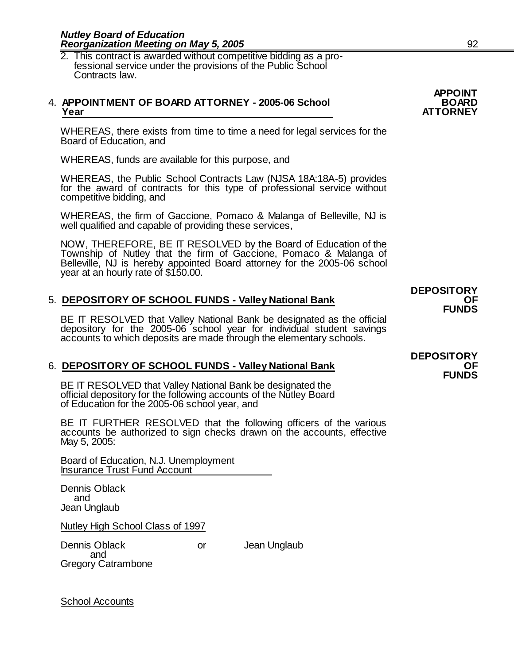2. This contract is awarded without competitive bidding as a pro fessional service under the provisions of the Public School Contracts law.

#### 4. **APPOINTMENT OF BOARD ATTORNEY - 2005-06 School BOARD Year ATTORNEY**

WHEREAS, there exists from time to time a need for legal services for the Board of Education, and

WHEREAS, funds are available for this purpose, and

WHEREAS, the Public School Contracts Law (NJSA 18A:18A-5) provides for the award of contracts for this type of professional service without competitive bidding, and

WHEREAS, the firm of Gaccione, Pomaco & Malanga of Belleville, NJ is well qualified and capable of providing these services,

NOW, THEREFORE, BE IT RESOLVED by the Board of Education of the Township of Nutley that the firm of Gaccione, Pomaco & Malanga of Belleville, NJ is hereby appointed Board attorney for the 2005-06 school year at an hourly rate of \$150.00.

#### 5. **DEPOSITORY OF SCHOOL FUNDS - Valley National Bank OF**

BE IT RESOLVED that Valley National Bank be designated as the official depository for the 2005-06 school year for individual student savings accounts to which deposits are made through the elementary schools.

#### 6. **DEPOSITORY OF SCHOOL FUNDS - Valley National Bank**

BE IT RESOLVED that Valley National Bank be designated the official depository for the following accounts of the Nutley Board of Education for the 2005-06 school year, and

BE IT FURTHER RESOLVED that the following officers of the various accounts be authorized to sign checks drawn on the accounts, effective May 5, 2005:

Board of Education, N.J. Unemployment Insurance Trust Fund Account

Dennis Oblack and Jean Unglaub

Nutley High School Class of 1997

Dennis Oblack **Dennis Oblack or** Jean Unglaub

 and Gregory Catrambone

**DEPOSITORY**

**DEPOSITORY FUNDS**

**APPOINT**

School Accounts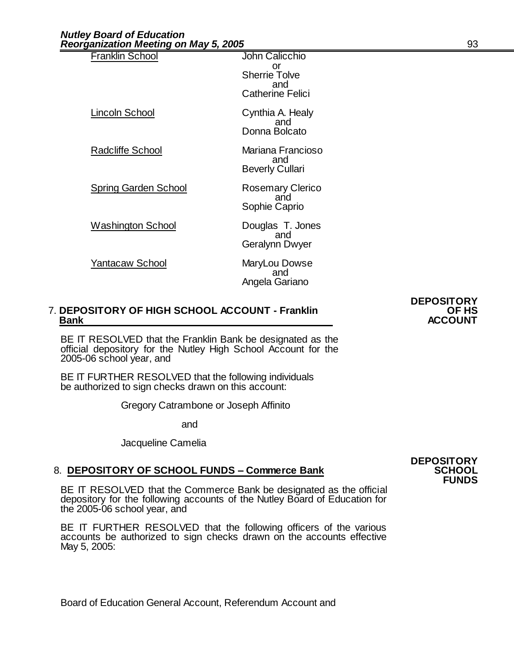| <b>Franklin School</b>      | John Calicchio<br>or<br><b>Sherrie Tolve</b><br>and<br><b>Catherine Felici</b> |
|-----------------------------|--------------------------------------------------------------------------------|
| Lincoln School              | Cynthia A. Healy<br>and<br>Donna Bolcato                                       |
| Radcliffe School            | Mariana Francioso<br>and<br><b>Beverly Cullari</b>                             |
| <b>Spring Garden School</b> | <b>Rosemary Clerico</b><br>and<br>Sophie Caprio                                |
| Washington School           | Douglas T. Jones<br>and<br>Geralynn Dwyer                                      |
| Yantacaw School             | MaryLou Dowse<br>and<br>Angela Gariano                                         |
|                             |                                                                                |

#### 7. **DEPOSITORY OF HIGH SCHOOL ACCOUNT - Franklin OF HS Bank ACCOUNT**

BE IT RESOLVED that the Franklin Bank be designated as the official depository for the Nutley High School Account for the 2005-06 school year, and

BE IT FURTHER RESOLVED that the following individuals be authorized to sign checks drawn on this account:

Gregory Catrambone or Joseph Affinito

and

Jacqueline Camelia

### 8. **DEPOSITORY OF SCHOOL FUNDS - Commerce Bank**

BE IT RESOLVED that the Commerce Bank be designated as the official depository for the following accounts of the Nutley Board of Education for the 2005-06 school year, and

BE IT FURTHER RESOLVED that the following officers of the various accounts be authorized to sign checks drawn on the accounts effective May 5, 2005:

Board of Education General Account, Referendum Account and

**DEPOSITORY**

**DEPOSITORY FUNDS**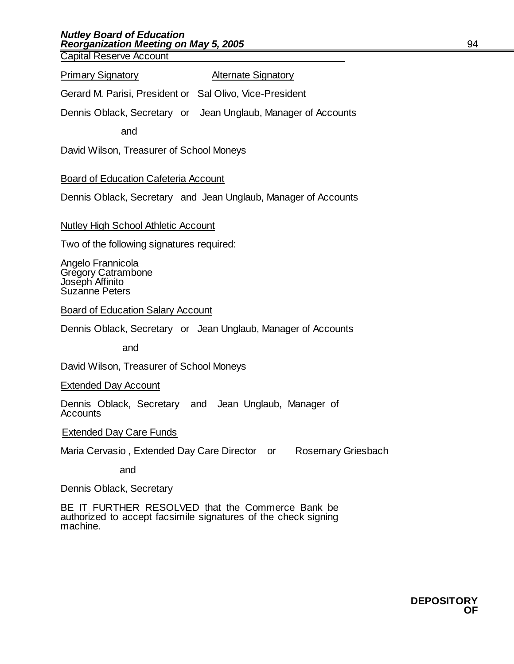Capital Reserve Account

#### **Primary Signatory Community Alternate Signatory**

Gerard M. Parisi, President or Sal Olivo, Vice-President

Dennis Oblack, Secretary or Jean Unglaub, Manager of Accounts

and

David Wilson, Treasurer of School Moneys

#### Board of Education Cafeteria Account

Dennis Oblack, Secretary and Jean Unglaub, Manager of Accounts

#### Nutley High School Athletic Account

Two of the following signatures required:

Angelo Frannicola Gregory Catrambone Joseph Affinito Suzanne Peters

Board of Education Salary Account

Dennis Oblack, Secretary or Jean Unglaub, Manager of Accounts

and

David Wilson, Treasurer of School Moneys

Extended Day Account

Dennis Oblack, Secretary and Jean Unglaub, Manager of **Accounts** 

**Extended Day Care Funds** 

Maria Cervasio, Extended Day Care Director or Rosemary Griesbach

and

Dennis Oblack, Secretary

BE IT FURTHER RESOLVED that the Commerce Bank be authorized to accept facsimile signatures of the check signing machine.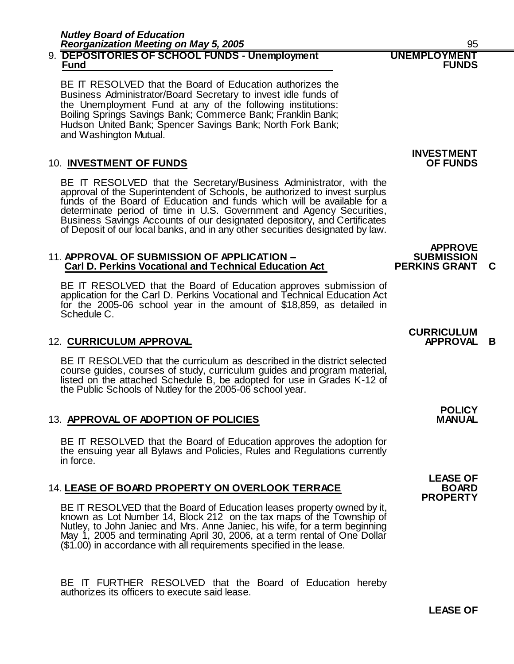#### 9. **DEPOSITORIES OF SCHOOL FUNDS - Unemployment UNEMPLOYMENT Fund FUNDS**

BE IT RESOLVED that the Board of Education authorizes the Business Administrator/Board Secretary to invest idle funds of the Unemployment Fund at any of the following institutions: Boiling Springs Savings Bank; Commerce Bank; Franklin Bank; Hudson United Bank; Spencer Savings Bank; North Fork Bank; and Washington Mutual.

### **10. INVESTMENT OF FUNDS**

BE IT RESOLVED that the Secretary/Business Administrator, with the approval of the Superintendent of Schools, be authorized to invest surplus funds of the Board of Education and funds which will be available for a determinate period of time in U.S. Government and Agency Securities, Business Savings Accounts of our designated depository, and Certificates of Deposit of our local banks, and in any other securities designated by law.

#### 11. **APPROVAL OF SUBMISSION OF APPLICATION – SUBMISSION Carl D. Perkins Vocational and Technical Education Act PERKINS GRANT C c**

BE IT RESOLVED that the Board of Education approves submission of application for the Carl D. Perkins Vocational and Technical Education Act for the 2005-06 school year in the amount of \$18,859, as detailed in Schedule C.

### 12. **CURRICULUM APPROVAL APPROVAL B**

BE IT RESOLVED that the curriculum as described in the district selected course guides, courses of study, curriculum guides and program material, listed on the attached Schedule B, be adopted for use in Grades K-12 of the Public Schools of Nutley for the 2005-06 school year.

### **13. APPROVAL OF ADOPTION OF POLICIES**

BE IT RESOLVED that the Board of Education approves the adoption for the ensuing year all Bylaws and Policies, Rules and Regulations currently in force.

### 14. **LEASE OF BOARD PROPERTY ON OVERLOOK TERRACE BOARD**

BE IT RESOLVED that the Board of Education leases property owned by it, known as Lot Number 14, Block 212 on the tax maps of the Township of Nutley, to John Janiec and Mrs. Anne Janiec, his wife, for a term beginning May 1, 2005 and terminating April 30, 2006, at a term rental of One Dollar (\$1.00) in accordance with all requirements specified in the lease.

BE IT FURTHER RESOLVED that the Board of Education hereby authorizes its officers to execute said lease.

# **INVESTMENT**

# **CURRICULUM**

**APPROVE**<br>SUBMISSION

**POLICY**

## **LEASE OF PROPERTY** P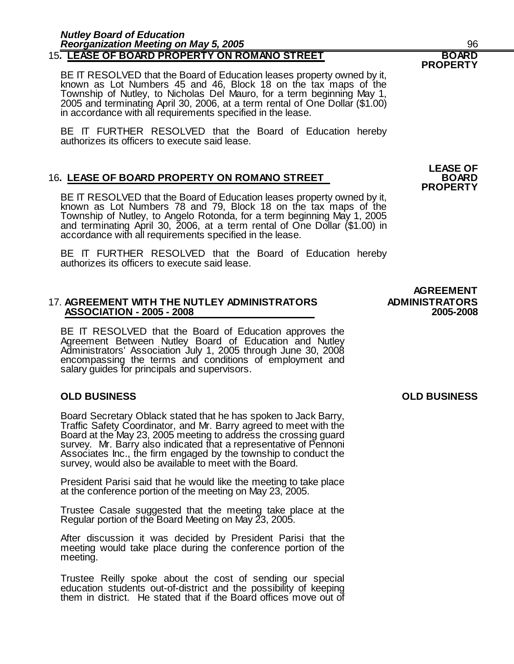BE IT RESOLVED that the Board of Education leases property owned by it, known as Lot Numbers 45 and 46, Block 18 on the tax maps of the Township of Nutley, to Nicholas Del Mauro, for a term beginning May 1, 2005 and terminating April 30, 2006, at a term rental of One Dollar (\$1.00) in accordance with all requirements specified in the lease.

BE IT FURTHER RESOLVED that the Board of Education hereby authorizes its officers to execute said lease.

#### **16. LEASE OF BOARD PROPERTY ON ROMANO STREET**

BE IT RESOLVED that the Board of Education leases property owned by it, known as Lot Numbers 78 and 79, Block 18 on the tax maps of the Township of Nutley, to Angelo Rotonda, for a term beginning May 1, 2005 and terminating April 30, 2006, at a term rental of One Dollar (\$1.00) in accordance with all requirements specified in the lease.

BE IT FURTHER RESOLVED that the Board of Education hereby authorizes its officers to execute said lease.

#### 17. **AGREEMENT WITH THE NUTLEY ADMINISTRATORS ADMINISTRATORS ASSOCIATION - 2005 - 2008 2005-2008**

BE IT RESOLVED that the Board of Education approves the Agreement Between Nutley Board of Education and Nutley Administrators' Association July 1, 2005 through June 30, 2008 encompassing the terms and conditions of employment and salary guides for principals and supervisors.

#### **OLD BUSINESS OLD BUSINESS**

Board Secretary Oblack stated that he has spoken to Jack Barry, Traffic Safety Coordinator, and Mr. Barry agreed to meet with the Board at the May 23, 2005 meeting to address the crossing guard survey. Mr. Barry also indicated that a representative of Pennoni Associates Inc., the firm engaged by the township to conduct the survey, would also be available to meet with the Board.

President Parisi said that he would like the meeting to take place at the conference portion of the meeting on May 23, 2005.

Trustee Casale suggested that the meeting take place at the Regular portion of the Board Meeting on May 23, 2005.

After discussion it was decided by President Parisi that the meeting would take place during the conference portion of the meeting.

Trustee Reilly spoke about the cost of sending our special education students out-of-district and the possibility of keeping them in district. He stated that if the Board offices move out of

**LEASE OF**

**PROPERTY**

# **AGREEMENT**

**PROPERTY**